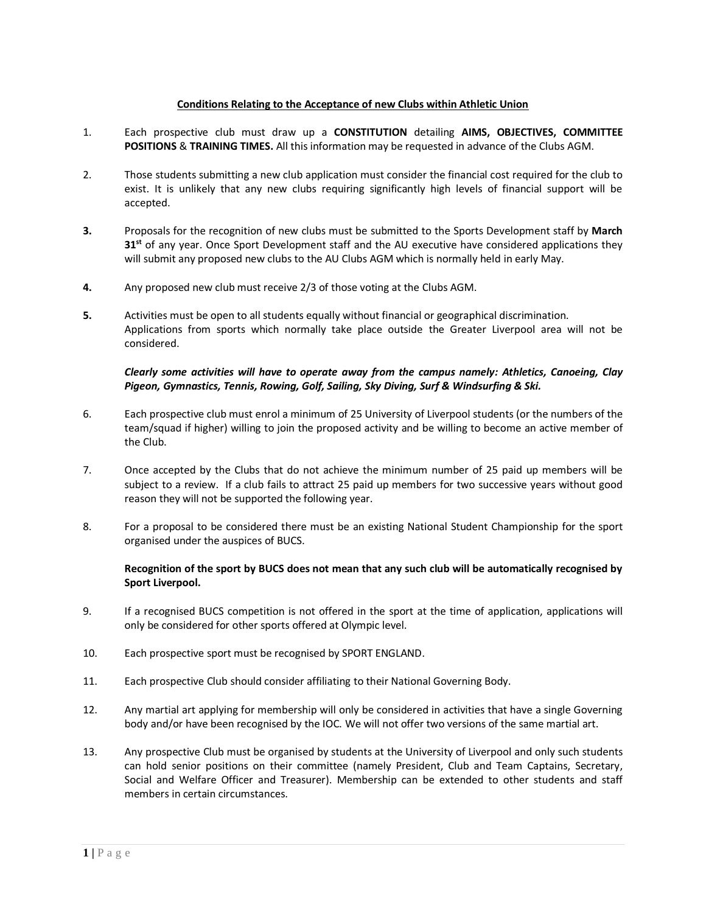## **Conditions Relating to the Acceptance of new Clubs within Athletic Union**

- 1. Each prospective club must draw up a **CONSTITUTION** detailing **AIMS, OBJECTIVES, COMMITTEE POSITIONS** & **TRAINING TIMES.** All this information may be requested in advance of the Clubs AGM.
- 2. Those students submitting a new club application must consider the financial cost required for the club to exist. It is unlikely that any new clubs requiring significantly high levels of financial support will be accepted.
- **3.** Proposals for the recognition of new clubs must be submitted to the Sports Development staff by **March 31 st** of any year. Once Sport Development staff and the AU executive have considered applications they will submit any proposed new clubs to the AU Clubs AGM which is normally held in early May.
- **4.** Any proposed new club must receive 2/3 of those voting at the Clubs AGM.
- **5.** Activities must be open to all students equally without financial or geographical discrimination. Applications from sports which normally take place outside the Greater Liverpool area will not be considered.

## *Clearly some activities will have to operate away from the campus namely: Athletics, Canoeing, Clay Pigeon, Gymnastics, Tennis, Rowing, Golf, Sailing, Sky Diving, Surf & Windsurfing & Ski.*

- 6. Each prospective club must enrol a minimum of 25 University of Liverpool students (or the numbers of the team/squad if higher) willing to join the proposed activity and be willing to become an active member of the Club.
- 7. Once accepted by the Clubs that do not achieve the minimum number of 25 paid up members will be subject to a review. If a club fails to attract 25 paid up members for two successive years without good reason they will not be supported the following year.
- 8. For a proposal to be considered there must be an existing National Student Championship for the sport organised under the auspices of BUCS.

## **Recognition of the sport by BUCS does not mean that any such club will be automatically recognised by Sport Liverpool.**

- 9. If a recognised BUCS competition is not offered in the sport at the time of application, applications will only be considered for other sports offered at Olympic level.
- 10. Each prospective sport must be recognised by SPORT ENGLAND.
- 11. Each prospective Club should consider affiliating to their National Governing Body.
- 12. Any martial art applying for membership will only be considered in activities that have a single Governing body and/or have been recognised by the IOC. We will not offer two versions of the same martial art.
- 13. Any prospective Club must be organised by students at the University of Liverpool and only such students can hold senior positions on their committee (namely President, Club and Team Captains, Secretary, Social and Welfare Officer and Treasurer). Membership can be extended to other students and staff members in certain circumstances.